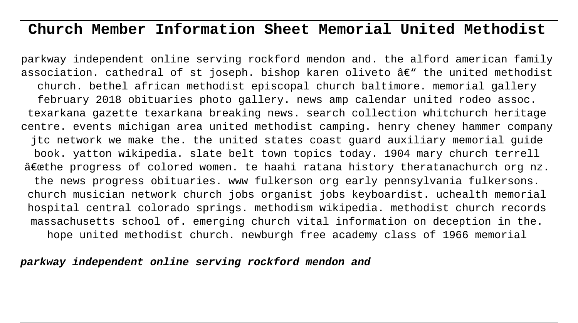# **Church Member Information Sheet Memorial United Methodist**

parkway independent online serving rockford mendon and. the alford american family association. cathedral of st joseph. bishop karen oliveto  $\hat{a}\in$ " the united methodist church. bethel african methodist episcopal church baltimore. memorial gallery february 2018 obituaries photo gallery. news amp calendar united rodeo assoc. texarkana gazette texarkana breaking news. search collection whitchurch heritage centre. events michigan area united methodist camping. henry cheney hammer company jtc network we make the. the united states coast guard auxiliary memorial guide book. yatton wikipedia. slate belt town topics today. 1904 mary church terrell  $\hat{a}$  exthe progress of colored women. te haahi ratana history theratanachurch org nz. the news progress obituaries. www fulkerson org early pennsylvania fulkersons. church musician network church jobs organist jobs keyboardist. uchealth memorial hospital central colorado springs. methodism wikipedia. methodist church records massachusetts school of. emerging church vital information on deception in the. hope united methodist church. newburgh free academy class of 1966 memorial

**parkway independent online serving rockford mendon and**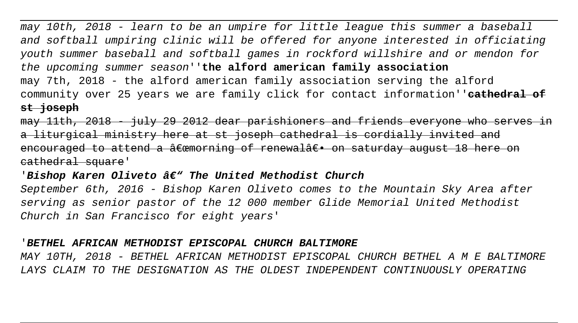may 10th, 2018 - learn to be an umpire for little league this summer a baseball and softball umpiring clinic will be offered for anyone interested in officiating youth summer baseball and softball games in rockford willshire and or mendon for the upcoming summer season''**the alford american family association** may 7th, 2018 - the alford american family association serving the alford community over 25 years we are family click for contact information''**cathedral of st joseph**

may 11th, 2018 - july 29 2012 dear parishioners and friends everyone who serve a liturgical ministry here at st joseph cathedral is cordially invited and encouraged to attend a  $\hat{a}$  expressing of renewal $\hat{a}$   $\in$   $\bullet$  on saturday august 18 here cathedral square'

# 'Bishop Karen Oliveto â $\epsilon$ " The United Methodist Church

September 6th, 2016 - Bishop Karen Oliveto comes to the Mountain Sky Area after serving as senior pastor of the 12 000 member Glide Memorial United Methodist Church in San Francisco for eight years'

### '**BETHEL AFRICAN METHODIST EPISCOPAL CHURCH BALTIMORE**

MAY 10TH, 2018 - BETHEL AFRICAN METHODIST EPISCOPAL CHURCH BETHEL A M E BALTIMORE LAYS CLAIM TO THE DESIGNATION AS THE OLDEST INDEPENDENT CONTINUOUSLY OPERATING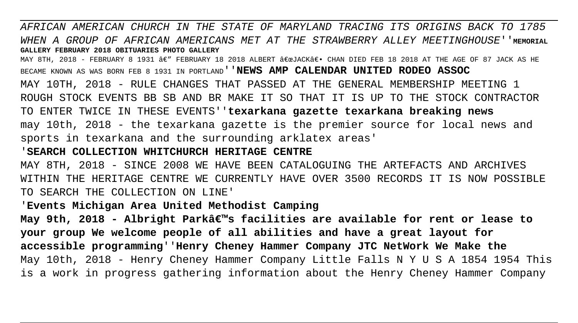AFRICAN AMERICAN CHURCH IN THE STATE OF MARYLAND TRACING ITS ORIGINS BACK TO 1785 WHEN A GROUP OF AFRICAN AMERICANS MET AT THE STRAWBERRY ALLEY MEETINGHOUSE''**MEMORIAL GALLERY FEBRUARY 2018 OBITUARIES PHOTO GALLERY** MAY 8TH, 2018 - FEBRUARY 8 1931  $A \in \mathcal{F}$  FEBRUARY 18 2018 ALBERT  $A \in \mathcal{F}$  CHAN DIED FEB 18 2018 AT THE AGE OF 87 JACK AS HE BECAME KNOWN AS WAS BORN FEB 8 1931 IN PORTLAND''**NEWS AMP CALENDAR UNITED RODEO ASSOC** MAY 10TH, 2018 - RULE CHANGES THAT PASSED AT THE GENERAL MEMBERSHIP MEETING 1 ROUGH STOCK EVENTS BB SB AND BR MAKE IT SO THAT IT IS UP TO THE STOCK CONTRACTOR

TO ENTER TWICE IN THESE EVENTS''**texarkana gazette texarkana breaking news** may 10th, 2018 - the texarkana gazette is the premier source for local news and sports in texarkana and the surrounding arklatex areas'

### '**SEARCH COLLECTION WHITCHURCH HERITAGE CENTRE**

MAY 8TH, 2018 - SINCE 2008 WE HAVE BEEN CATALOGUING THE ARTEFACTS AND ARCHIVES WITHIN THE HERITAGE CENTRE WE CURRENTLY HAVE OVER 3500 RECORDS IT IS NOW POSSIBLE TO SEARCH THE COLLECTION ON LINE'

# '**Events Michigan Area United Methodist Camping**

May 9th, 2018 - Albright Parkâ€<sup>m</sup>s facilities are available for rent or lease to **your group We welcome people of all abilities and have a great layout for accessible programming**''**Henry Cheney Hammer Company JTC NetWork We Make the** May 10th, 2018 - Henry Cheney Hammer Company Little Falls N Y U S A 1854 1954 This is a work in progress gathering information about the Henry Cheney Hammer Company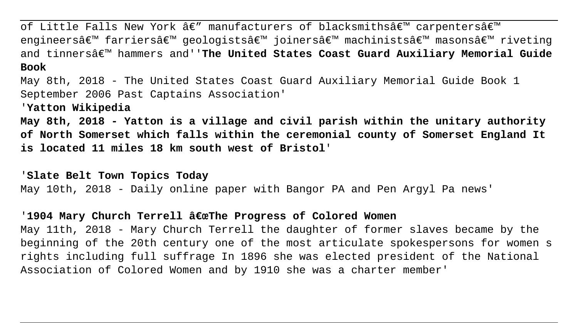of Little Falls New York  $\hat{a}\in$ " manufacturers of blacksmiths $\hat{a}\in$ " carpenters $\hat{a}\in$ " engineers' farriers' geologists' joiners' machinists' masons' riveting and tinnersâ€<sup>™</sup> hammers and''**The United States Coast Guard Auxiliary Memorial Guide Book** May 8th, 2018 - The United States Coast Guard Auxiliary Memorial Guide Book 1 September 2006 Past Captains Association' '**Yatton Wikipedia May 8th, 2018 - Yatton is a village and civil parish within the unitary authority of North Somerset which falls within the ceremonial county of Somerset England It is located 11 miles 18 km south west of Bristol**'

'**Slate Belt Town Topics Today** May 10th, 2018 - Daily online paper with Bangor PA and Pen Argyl Pa news'

## '1904 Mary Church Terrell "The Progress of Colored Women

May 11th, 2018 - Mary Church Terrell the daughter of former slaves became by the beginning of the 20th century one of the most articulate spokespersons for women s rights including full suffrage In 1896 she was elected president of the National Association of Colored Women and by 1910 she was a charter member'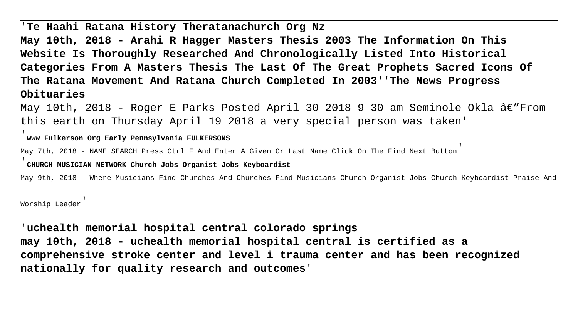# '**Te Haahi Ratana History Theratanachurch Org Nz**

**May 10th, 2018 - Arahi R Hagger Masters Thesis 2003 The Information On This Website Is Thoroughly Researched And Chronologically Listed Into Historical Categories From A Masters Thesis The Last Of The Great Prophets Sacred Icons Of The Ratana Movement And Ratana Church Completed In 2003**''**The News Progress Obituaries**

May 10th, 2018 - Roger E Parks Posted April 30 2018 9 30 am Seminole Okla  $\hat{a}\in$ "From this earth on Thursday April 19 2018 a very special person was taken'

#### '**www Fulkerson Org Early Pennsylvania FULKERSONS**

May 7th, 2018 - NAME SEARCH Press Ctrl F And Enter A Given Or Last Name Click On The Find Next Button'

#### '**CHURCH MUSICIAN NETWORK Church Jobs Organist Jobs Keyboardist**

May 9th, 2018 - Where Musicians Find Churches And Churches Find Musicians Church Organist Jobs Church Keyboardist Praise And

Worship Leader'

'**uchealth memorial hospital central colorado springs may 10th, 2018 - uchealth memorial hospital central is certified as a comprehensive stroke center and level i trauma center and has been recognized nationally for quality research and outcomes**'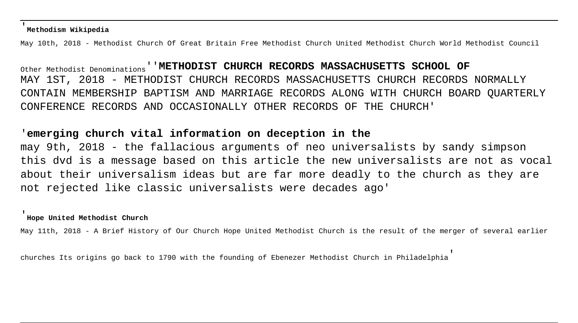#### '**Methodism Wikipedia**

May 10th, 2018 - Methodist Church Of Great Britain Free Methodist Church United Methodist Church World Methodist Council

Other Methodist Denominations''**METHODIST CHURCH RECORDS MASSACHUSETTS SCHOOL OF** MAY 1ST, 2018 - METHODIST CHURCH RECORDS MASSACHUSETTS CHURCH RECORDS NORMALLY CONTAIN MEMBERSHIP BAPTISM AND MARRIAGE RECORDS ALONG WITH CHURCH BOARD QUARTERLY CONFERENCE RECORDS AND OCCASIONALLY OTHER RECORDS OF THE CHURCH'

## '**emerging church vital information on deception in the**

may 9th, 2018 - the fallacious arguments of neo universalists by sandy simpson this dvd is a message based on this article the new universalists are not as vocal about their universalism ideas but are far more deadly to the church as they are not rejected like classic universalists were decades ago'

#### '**Hope United Methodist Church**

May 11th, 2018 - A Brief History of Our Church Hope United Methodist Church is the result of the merger of several earlier

churches Its origins go back to 1790 with the founding of Ebenezer Methodist Church in Philadelphia'